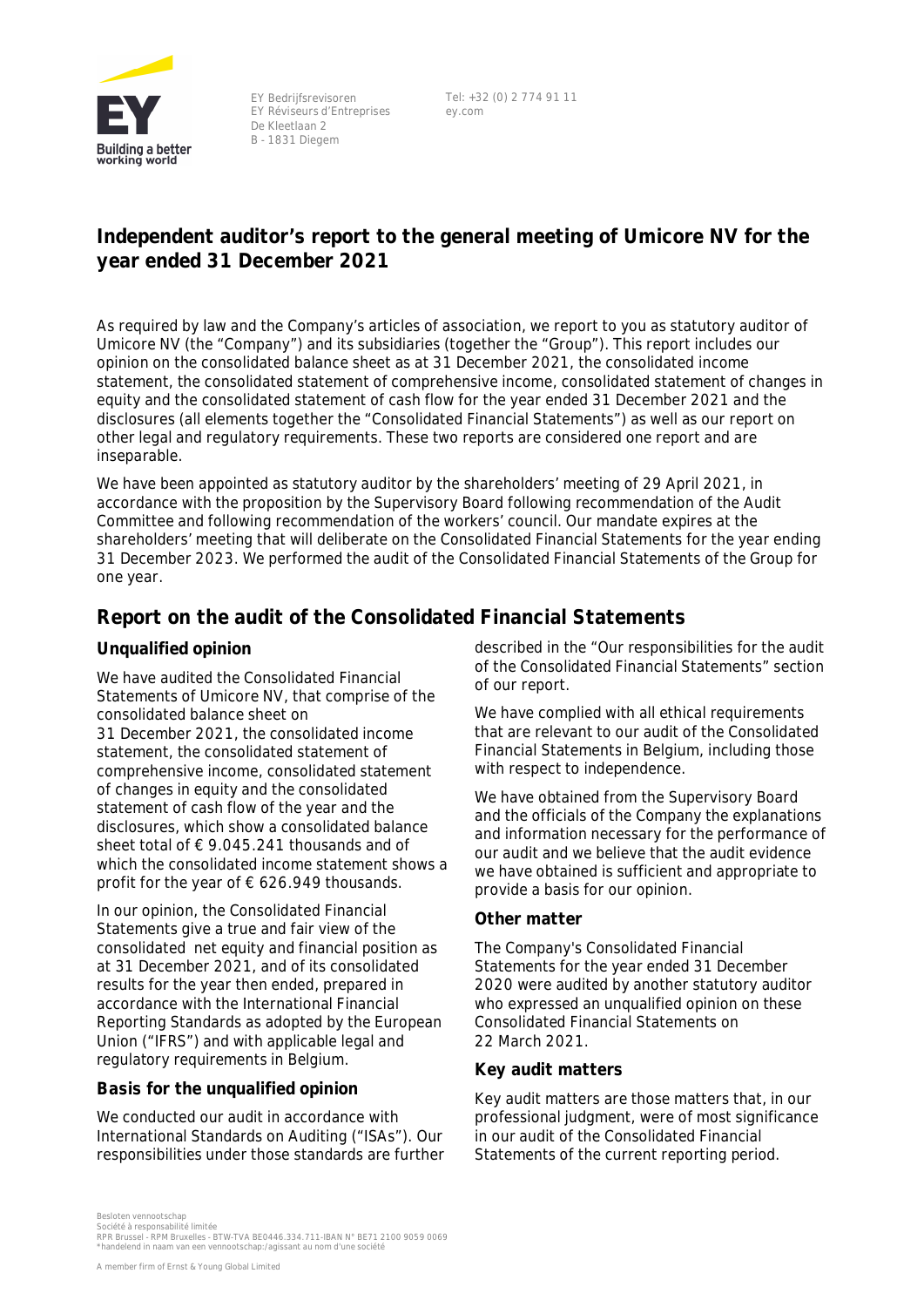

EY Bedrijfsrevisoren EY Réviseurs d'Entreprises De Kleetlaan 2 B - 1831 Diegem

Tel: +32 (0) 2 774 91 11 ey.com

# **Independent auditor's report to the general meeting of Umicore NV for the year ended 31 December 2021**

As required by law and the Company's articles of association, we report to you as statutory auditor of Umicore NV (the "Company") and its subsidiaries (together the "Group"). This report includes our opinion on the consolidated balance sheet as at 31 December 2021, the consolidated income statement, the consolidated statement of comprehensive income, consolidated statement of changes in equity and the consolidated statement of cash flow for the year ended 31 December 2021 and the disclosures (all elements together the "Consolidated Financial Statements") as well as our report on other legal and regulatory requirements. These two reports are considered one report and are inseparable.

We have been appointed as statutory auditor by the shareholders' meeting of 29 April 2021, in accordance with the proposition by the Supervisory Board following recommendation of the Audit Committee and following recommendation of the workers' council. Our mandate expires at the shareholders' meeting that will deliberate on the Consolidated Financial Statements for the year ending 31 December 2023. We performed the audit of the Consolidated Financial Statements of the Group for one year.

# **Report on the audit of the Consolidated Financial Statements**

## **Unqualified opinion**

We have audited the Consolidated Financial Statements of Umicore NV, that comprise of the consolidated balance sheet on 31 December 2021, the consolidated income statement, the consolidated statement of comprehensive income, consolidated statement of changes in equity and the consolidated statement of cash flow of the year and the disclosures, which show a consolidated balance sheet total of € 9.045.241 thousands and of which the consolidated income statement shows a profit for the year of  $\epsilon$  626.949 thousands.

In our opinion, the Consolidated Financial Statements give a true and fair view of the consolidated net equity and financial position as at 31 December 2021, and of its consolidated results for the year then ended, prepared in accordance with the International Financial Reporting Standards as adopted by the European Union ("IFRS") and with applicable legal and regulatory requirements in Belgium.

#### **Basis for the unqualified opinion**

We conducted our audit in accordance with International Standards on Auditing ("ISAs"). Our responsibilities under those standards are further described in the "Our responsibilities for the audit of the Consolidated Financial Statements" section of our report.

We have complied with all ethical requirements that are relevant to our audit of the Consolidated Financial Statements in Belgium, including those with respect to independence.

We have obtained from the Supervisory Board and the officials of the Company the explanations and information necessary for the performance of our audit and we believe that the audit evidence we have obtained is sufficient and appropriate to provide a basis for our opinion.

## **Other matter**

The Company's Consolidated Financial Statements for the year ended 31 December 2020 were audited by another statutory auditor who expressed an unqualified opinion on these Consolidated Financial Statements on 22 March 2021.

## **Key audit matters**

Key audit matters are those matters that, in our professional judgment, were of most significance in our audit of the Consolidated Financial Statements of the current reporting period.

Besloten vennootschap

Société à responsabilité limitée<br>RPR Brussel - RPM Bruxelles - BTW-TVA BE0446.334.711-IBAN N° BE71 2100 9059 0069<br>\*handelend in naam van een vennootschap:/agissant au nom d'une société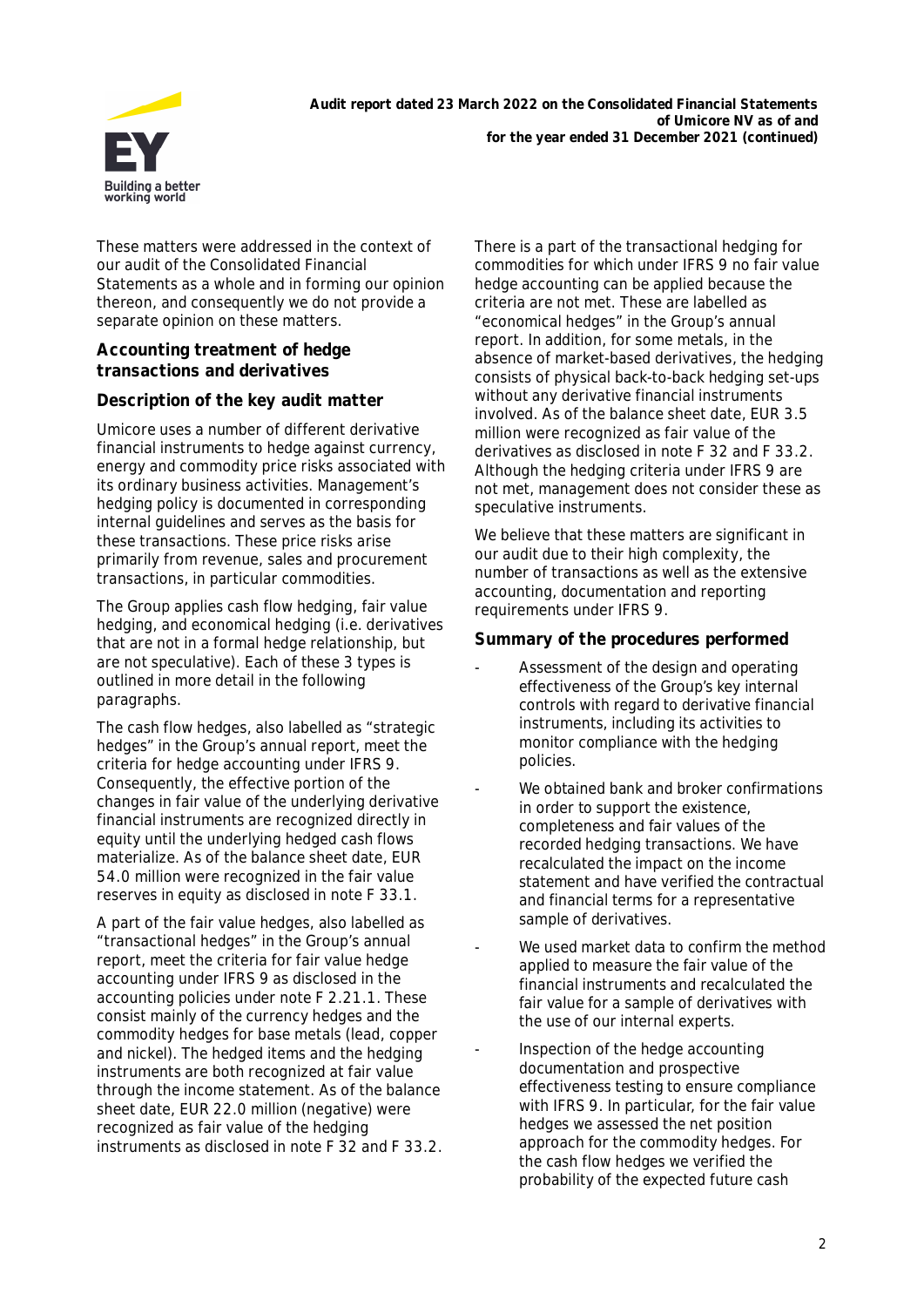

These matters were addressed in the context of our audit of the Consolidated Financial Statements as a whole and in forming our opinion thereon, and consequently we do not provide a separate opinion on these matters.

## **Accounting treatment of hedge transactions and derivatives**

## **Description of the key audit matter**

Umicore uses a number of different derivative financial instruments to hedge against currency, energy and commodity price risks associated with its ordinary business activities. Management's hedging policy is documented in corresponding internal guidelines and serves as the basis for these transactions. These price risks arise primarily from revenue, sales and procurement transactions, in particular commodities.

The Group applies cash flow hedging, fair value hedging, and economical hedging (i.e. derivatives that are not in a formal hedge relationship, but are not speculative). Each of these 3 types is outlined in more detail in the following paragraphs.

The cash flow hedges, also labelled as "strategic hedges" in the Group's annual report, meet the criteria for hedge accounting under IFRS 9. Consequently, the effective portion of the changes in fair value of the underlying derivative financial instruments are recognized directly in equity until the underlying hedged cash flows materialize. As of the balance sheet date, EUR 54.0 million were recognized in the fair value reserves in equity as disclosed in note F 33.1.

A part of the fair value hedges, also labelled as "transactional hedges" in the Group's annual report, meet the criteria for fair value hedge accounting under IFRS 9 as disclosed in the accounting policies under note F 2.21.1. These consist mainly of the currency hedges and the commodity hedges for base metals (lead, copper and nickel). The hedged items and the hedging instruments are both recognized at fair value through the income statement. As of the balance sheet date, EUR 22.0 million (negative) were recognized as fair value of the hedging instruments as disclosed in note F 32 and F 33.2. There is a part of the transactional hedging for commodities for which under IFRS 9 no fair value hedge accounting can be applied because the criteria are not met. These are labelled as "economical hedges" in the Group's annual report. In addition, for some metals, in the absence of market-based derivatives, the hedging consists of physical back-to-back hedging set-ups without any derivative financial instruments involved. As of the balance sheet date, EUR 3.5 million were recognized as fair value of the derivatives as disclosed in note F 32 and F 33.2. Although the hedging criteria under IFRS 9 are not met, management does not consider these as speculative instruments.

We believe that these matters are significant in our audit due to their high complexity, the number of transactions as well as the extensive accounting, documentation and reporting requirements under IFRS 9.

#### **Summary of the procedures performed**

- Assessment of the design and operating effectiveness of the Group's key internal controls with regard to derivative financial instruments, including its activities to monitor compliance with the hedging policies.
- We obtained bank and broker confirmations in order to support the existence, completeness and fair values of the recorded hedging transactions. We have recalculated the impact on the income statement and have verified the contractual and financial terms for a representative sample of derivatives.
- We used market data to confirm the method applied to measure the fair value of the financial instruments and recalculated the fair value for a sample of derivatives with the use of our internal experts.
- Inspection of the hedge accounting documentation and prospective effectiveness testing to ensure compliance with IFRS 9. In particular, for the fair value hedges we assessed the net position approach for the commodity hedges. For the cash flow hedges we verified the probability of the expected future cash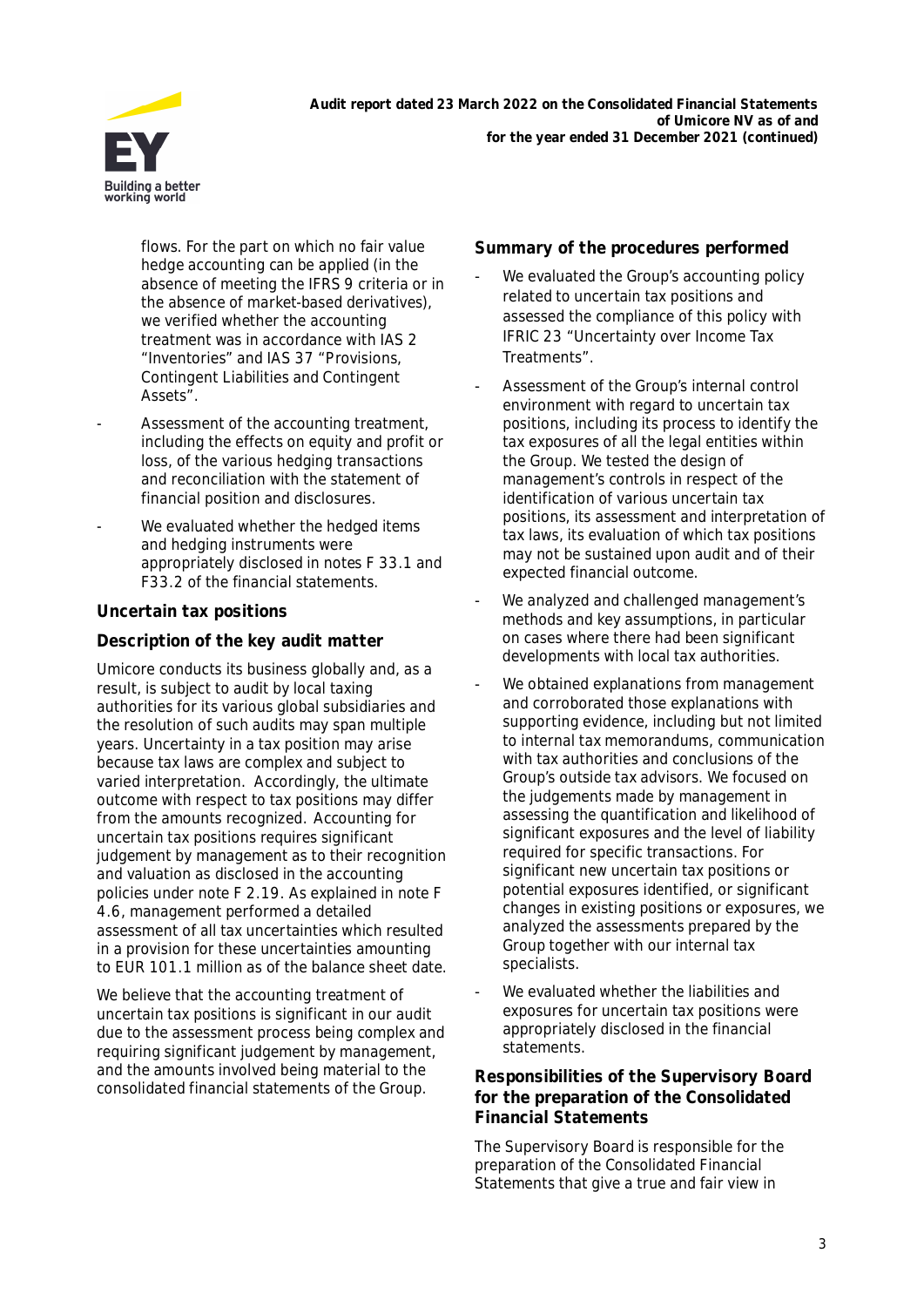

flows. For the part on which no fair value hedge accounting can be applied (in the absence of meeting the IFRS 9 criteria or in the absence of market-based derivatives), we verified whether the accounting treatment was in accordance with IAS 2 "Inventories" and IAS 37 "Provisions, Contingent Liabilities and Contingent Assets".

- Assessment of the accounting treatment, including the effects on equity and profit or loss, of the various hedging transactions and reconciliation with the statement of financial position and disclosures.
- We evaluated whether the hedged items and hedging instruments were appropriately disclosed in notes F 33.1 and F33.2 of the financial statements.

## **Uncertain tax positions**

## **Description of the key audit matter**

Umicore conducts its business globally and, as a result, is subject to audit by local taxing authorities for its various global subsidiaries and the resolution of such audits may span multiple years. Uncertainty in a tax position may arise because tax laws are complex and subject to varied interpretation. Accordingly, the ultimate outcome with respect to tax positions may differ from the amounts recognized. Accounting for uncertain tax positions requires significant judgement by management as to their recognition and valuation as disclosed in the accounting policies under note F 2.19. As explained in note F 4.6, management performed a detailed assessment of all tax uncertainties which resulted in a provision for these uncertainties amounting to EUR 101.1 million as of the balance sheet date.

We believe that the accounting treatment of uncertain tax positions is significant in our audit due to the assessment process being complex and requiring significant judgement by management, and the amounts involved being material to the consolidated financial statements of the Group.

**Summary of the procedures performed**

- We evaluated the Group's accounting policy related to uncertain tax positions and assessed the compliance of this policy with IFRIC 23 "Uncertainty over Income Tax Treatments".
- Assessment of the Group's internal control environment with regard to uncertain tax positions, including its process to identify the tax exposures of all the legal entities within the Group. We tested the design of management's controls in respect of the identification of various uncertain tax positions, its assessment and interpretation of tax laws, its evaluation of which tax positions may not be sustained upon audit and of their expected financial outcome.
- We analyzed and challenged management's methods and key assumptions, in particular on cases where there had been significant developments with local tax authorities.
- We obtained explanations from management and corroborated those explanations with supporting evidence, including but not limited to internal tax memorandums, communication with tax authorities and conclusions of the Group's outside tax advisors. We focused on the judgements made by management in assessing the quantification and likelihood of significant exposures and the level of liability required for specific transactions. For significant new uncertain tax positions or potential exposures identified, or significant changes in existing positions or exposures, we analyzed the assessments prepared by the Group together with our internal tax specialists.
- We evaluated whether the liabilities and exposures for uncertain tax positions were appropriately disclosed in the financial statements.

**Responsibilities of the Supervisory Board for the preparation of the Consolidated Financial Statements**

The Supervisory Board is responsible for the preparation of the Consolidated Financial Statements that give a true and fair view in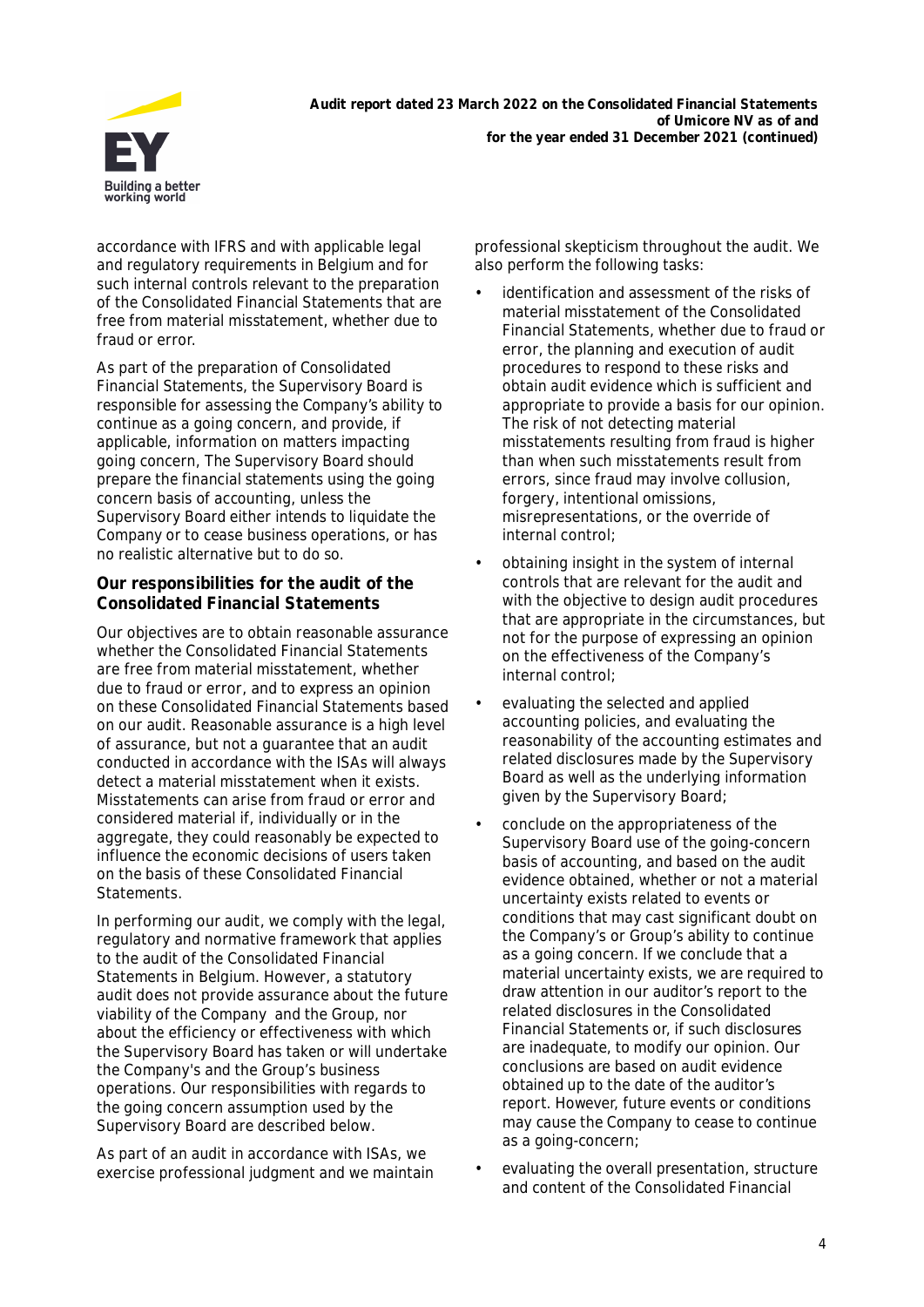

accordance with IFRS and with applicable legal and regulatory requirements in Belgium and for such internal controls relevant to the preparation of the Consolidated Financial Statements that are free from material misstatement, whether due to fraud or error.

As part of the preparation of Consolidated Financial Statements, the Supervisory Board is responsible for assessing the Company's ability to continue as a going concern, and provide, if applicable, information on matters impacting going concern, The Supervisory Board should prepare the financial statements using the going concern basis of accounting, unless the Supervisory Board either intends to liquidate the Company or to cease business operations, or has no realistic alternative but to do so.

**Our responsibilities for the audit of the Consolidated Financial Statements**

Our objectives are to obtain reasonable assurance whether the Consolidated Financial Statements are free from material misstatement, whether due to fraud or error, and to express an opinion on these Consolidated Financial Statements based on our audit. Reasonable assurance is a high level of assurance, but not a guarantee that an audit conducted in accordance with the ISAs will always detect a material misstatement when it exists. Misstatements can arise from fraud or error and considered material if, individually or in the aggregate, they could reasonably be expected to influence the economic decisions of users taken on the basis of these Consolidated Financial Statements.

In performing our audit, we comply with the legal, regulatory and normative framework that applies to the audit of the Consolidated Financial Statements in Belgium. However, a statutory audit does not provide assurance about the future viability of the Company and the Group, nor about the efficiency or effectiveness with which the Supervisory Board has taken or will undertake the Company's and the Group's business operations. Our responsibilities with regards to the going concern assumption used by the Supervisory Board are described below.

As part of an audit in accordance with ISAs, we exercise professional judgment and we maintain professional skepticism throughout the audit. We also perform the following tasks:

- identification and assessment of the risks of material misstatement of the Consolidated Financial Statements, whether due to fraud or error, the planning and execution of audit procedures to respond to these risks and obtain audit evidence which is sufficient and appropriate to provide a basis for our opinion. The risk of not detecting material misstatements resulting from fraud is higher than when such misstatements result from errors, since fraud may involve collusion, forgery, intentional omissions, misrepresentations, or the override of internal control;
- obtaining insight in the system of internal controls that are relevant for the audit and with the objective to design audit procedures that are appropriate in the circumstances, but not for the purpose of expressing an opinion on the effectiveness of the Company's internal control;
- evaluating the selected and applied accounting policies, and evaluating the reasonability of the accounting estimates and related disclosures made by the Supervisory Board as well as the underlying information given by the Supervisory Board;
- conclude on the appropriateness of the Supervisory Board use of the going-concern basis of accounting, and based on the audit evidence obtained, whether or not a material uncertainty exists related to events or conditions that may cast significant doubt on the Company's or Group's ability to continue as a going concern. If we conclude that a material uncertainty exists, we are required to draw attention in our auditor's report to the related disclosures in the Consolidated Financial Statements or, if such disclosures are inadequate, to modify our opinion. Our conclusions are based on audit evidence obtained up to the date of the auditor's report. However, future events or conditions may cause the Company to cease to continue as a going-concern;
- evaluating the overall presentation, structure and content of the Consolidated Financial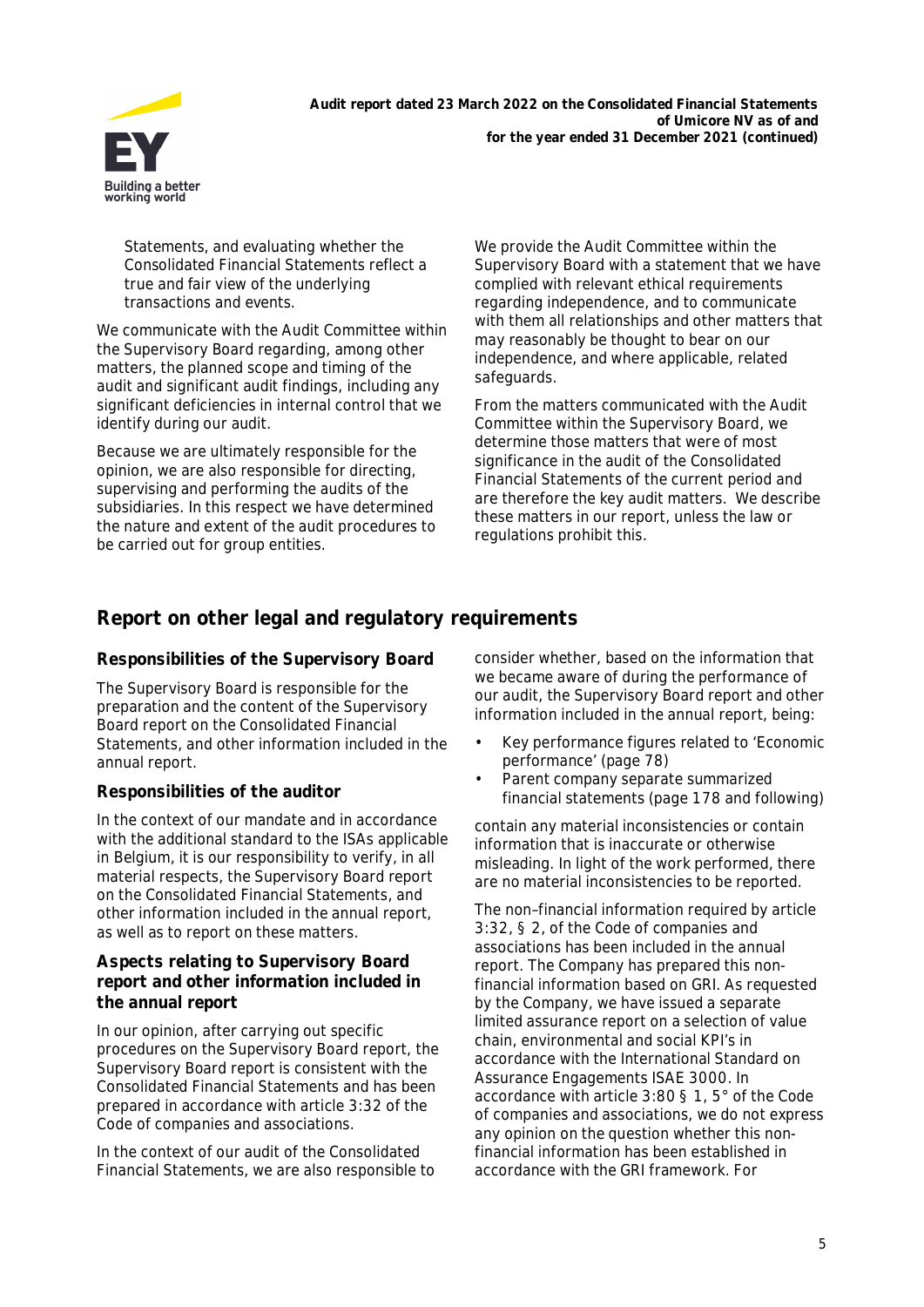

Statements, and evaluating whether the Consolidated Financial Statements reflect a true and fair view of the underlying transactions and events.

We communicate with the Audit Committee within the Supervisory Board regarding, among other matters, the planned scope and timing of the audit and significant audit findings, including any significant deficiencies in internal control that we identify during our audit.

Because we are ultimately responsible for the opinion, we are also responsible for directing, supervising and performing the audits of the subsidiaries. In this respect we have determined the nature and extent of the audit procedures to be carried out for group entities.

We provide the Audit Committee within the Supervisory Board with a statement that we have complied with relevant ethical requirements regarding independence, and to communicate with them all relationships and other matters that may reasonably be thought to bear on our independence, and where applicable, related safeguards.

From the matters communicated with the Audit Committee within the Supervisory Board, we determine those matters that were of most significance in the audit of the Consolidated Financial Statements of the current period and are therefore the key audit matters. We describe these matters in our report, unless the law or regulations prohibit this.

# **Report on other legal and regulatory requirements**

## **Responsibilities of the Supervisory Board**

The Supervisory Board is responsible for the preparation and the content of the Supervisory Board report on the Consolidated Financial Statements, and other information included in the annual report.

## **Responsibilities of the auditor**

In the context of our mandate and in accordance with the additional standard to the ISAs applicable in Belgium, it is our responsibility to verify, in all material respects, the Supervisory Board report on the Consolidated Financial Statements, and other information included in the annual report, as well as to report on these matters.

**Aspects relating to Supervisory Board report and other information included in the annual report**

In our opinion, after carrying out specific procedures on the Supervisory Board report, the Supervisory Board report is consistent with the Consolidated Financial Statements and has been prepared in accordance with article 3:32 of the Code of companies and associations.

In the context of our audit of the Consolidated Financial Statements, we are also responsible to consider whether, based on the information that we became aware of during the performance of our audit, the Supervisory Board report and other information included in the annual report, being:

- Key performance figures related to 'Economic performance' (page 78)
- Parent company separate summarized financial statements (page 178 and following)

contain any material inconsistencies or contain information that is inaccurate or otherwise misleading. In light of the work performed, there are no material inconsistencies to be reported.

The non–financial information required by article 3:32, § 2, of the Code of companies and associations has been included in the annual report. The Company has prepared this nonfinancial information based on GRI. As requested by the Company, we have issued a separate limited assurance report on a selection of value chain, environmental and social KPI's in accordance with the International Standard on Assurance Engagements ISAE 3000. In accordance with article 3:80 § 1, 5° of the Code of companies and associations, we do not express any opinion on the question whether this nonfinancial information has been established in accordance with the GRI framework. For